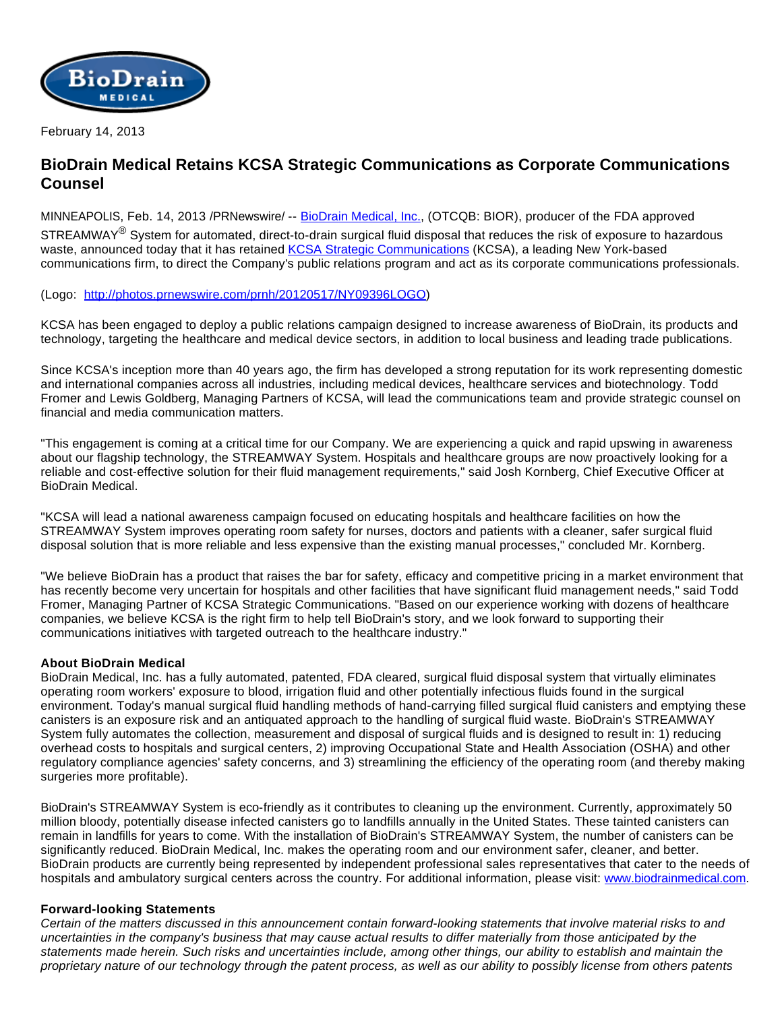

February 14, 2013

## **BioDrain Medical Retains KCSA Strategic Communications as Corporate Communications Counsel**

MINNEAPOLIS, Feb. 14, 2013 /PRNewswire/ -- [BioDrain Medical, Inc.,](http://www.biodrainmedical.com/) (OTCQB: BIOR), producer of the FDA approved STREAMWAY<sup>®</sup> System for automated, direct-to-drain surgical fluid disposal that reduces the risk of exposure to hazardous waste, announced today that it has retained [KCSA Strategic Communications](http://www.kcsa.com/) (KCSA), a leading New York-based communications firm, to direct the Company's public relations program and act as its corporate communications professionals.

## (Logo: [http://photos.prnewswire.com/prnh/20120517/NY09396LOGO\)](http://photos.prnewswire.com/prnh/20120517/NY09396LOGO)

KCSA has been engaged to deploy a public relations campaign designed to increase awareness of BioDrain, its products and technology, targeting the healthcare and medical device sectors, in addition to local business and leading trade publications.

Since KCSA's inception more than 40 years ago, the firm has developed a strong reputation for its work representing domestic and international companies across all industries, including medical devices, healthcare services and biotechnology. Todd Fromer and Lewis Goldberg, Managing Partners of KCSA, will lead the communications team and provide strategic counsel on financial and media communication matters.

"This engagement is coming at a critical time for our Company. We are experiencing a quick and rapid upswing in awareness about our flagship technology, the STREAMWAY System. Hospitals and healthcare groups are now proactively looking for a reliable and cost-effective solution for their fluid management requirements," said Josh Kornberg, Chief Executive Officer at BioDrain Medical.

"KCSA will lead a national awareness campaign focused on educating hospitals and healthcare facilities on how the STREAMWAY System improves operating room safety for nurses, doctors and patients with a cleaner, safer surgical fluid disposal solution that is more reliable and less expensive than the existing manual processes," concluded Mr. Kornberg.

"We believe BioDrain has a product that raises the bar for safety, efficacy and competitive pricing in a market environment that has recently become very uncertain for hospitals and other facilities that have significant fluid management needs," said Todd Fromer, Managing Partner of KCSA Strategic Communications. "Based on our experience working with dozens of healthcare companies, we believe KCSA is the right firm to help tell BioDrain's story, and we look forward to supporting their communications initiatives with targeted outreach to the healthcare industry."

## **About BioDrain Medical**

BioDrain Medical, Inc. has a fully automated, patented, FDA cleared, surgical fluid disposal system that virtually eliminates operating room workers' exposure to blood, irrigation fluid and other potentially infectious fluids found in the surgical environment. Today's manual surgical fluid handling methods of hand-carrying filled surgical fluid canisters and emptying these canisters is an exposure risk and an antiquated approach to the handling of surgical fluid waste. BioDrain's STREAMWAY System fully automates the collection, measurement and disposal of surgical fluids and is designed to result in: 1) reducing overhead costs to hospitals and surgical centers, 2) improving Occupational State and Health Association (OSHA) and other regulatory compliance agencies' safety concerns, and 3) streamlining the efficiency of the operating room (and thereby making surgeries more profitable).

BioDrain's STREAMWAY System is eco-friendly as it contributes to cleaning up the environment. Currently, approximately 50 million bloody, potentially disease infected canisters go to landfills annually in the United States. These tainted canisters can remain in landfills for years to come. With the installation of BioDrain's STREAMWAY System, the number of canisters can be significantly reduced. BioDrain Medical, Inc. makes the operating room and our environment safer, cleaner, and better. BioDrain products are currently being represented by independent professional sales representatives that cater to the needs of hospitals and ambulatory surgical centers across the country. For additional information, please visit: [www.biodrainmedical.com](http://www.biodrainmedical.com/).

## **Forward-looking Statements**

Certain of the matters discussed in this announcement contain forward-looking statements that involve material risks to and uncertainties in the company's business that may cause actual results to differ materially from those anticipated by the statements made herein. Such risks and uncertainties include, among other things, our ability to establish and maintain the proprietary nature of our technology through the patent process, as well as our ability to possibly license from others patents